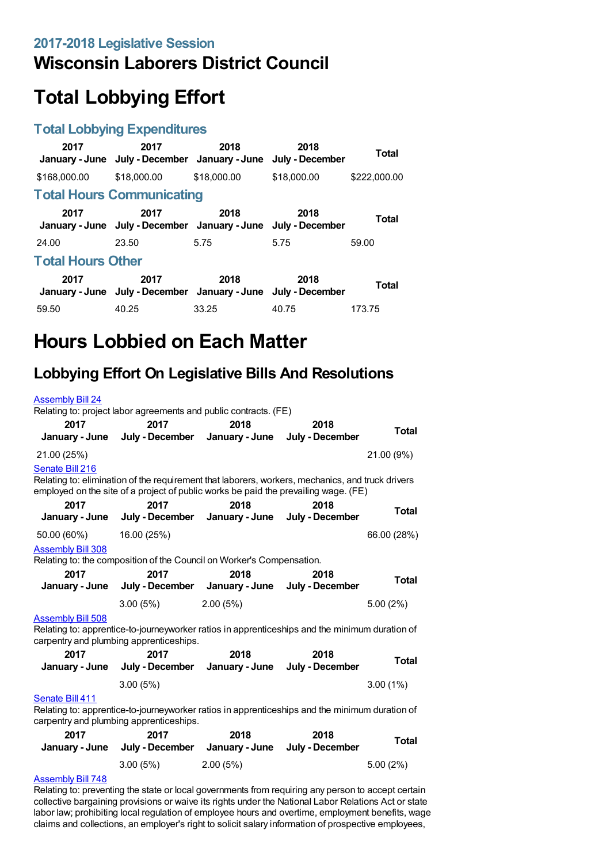## **Wisconsin Laborers District Council**

# **Total Lobbying Effort**

#### **Total Lobbying Expenditures**

| 2017                     | 2017<br>January - June July - December January - June July - December | 2018        | 2018        | Total        |  |
|--------------------------|-----------------------------------------------------------------------|-------------|-------------|--------------|--|
| \$168,000.00             | \$18,000.00                                                           | \$18,000.00 | \$18,000.00 | \$222,000.00 |  |
|                          | <b>Total Hours Communicating</b>                                      |             |             |              |  |
| 2017                     | 2017<br>January - June July - December January - June July - December | 2018        | 2018        | <b>Total</b> |  |
| 24.00                    | 23.50                                                                 | 5.75        | 5.75        | 59.00        |  |
| <b>Total Hours Other</b> |                                                                       |             |             |              |  |
| 2017                     | 2017<br>January - June July - December January - June July - December | 2018        | 2018        | <b>Total</b> |  |
| 59.50                    | 40.25                                                                 | 33.25       | 40.75       | 173.75       |  |

## **Hours Lobbied on Each Matter**

### **Lobbying Effort On Legislative Bills And Resolutions**

| <b>Assembly Bill 24</b>                                                                                                                                               | Relating to: project labor agreements and public contracts. (FE)                                                                                                                        |          |                                        |              |
|-----------------------------------------------------------------------------------------------------------------------------------------------------------------------|-----------------------------------------------------------------------------------------------------------------------------------------------------------------------------------------|----------|----------------------------------------|--------------|
| 2017                                                                                                                                                                  | 2017<br>January - June July - December                                                                                                                                                  | 2018     | 2018<br>January - June July - December | <b>Total</b> |
| 21.00 (25%)                                                                                                                                                           |                                                                                                                                                                                         |          |                                        | 21.00 (9%)   |
| Senate Bill 216                                                                                                                                                       | Relating to: elimination of the requirement that laborers, workers, mechanics, and truck drivers<br>employed on the site of a project of public works be paid the prevailing wage. (FE) |          |                                        |              |
| 2017                                                                                                                                                                  | 2017<br>January - June July - December January - June                                                                                                                                   | 2018     | 2018<br>July - December                | Total        |
| 50.00 (60%)<br><b>Assembly Bill 308</b>                                                                                                                               | 16.00 (25%)                                                                                                                                                                             |          |                                        | 66.00 (28%)  |
| 2017                                                                                                                                                                  | Relating to: the composition of the Council on Worker's Compensation.<br>2017<br>January - June July - December January - June July - December                                          | 2018     | 2018                                   | <b>Total</b> |
|                                                                                                                                                                       | 3.00(5%)                                                                                                                                                                                | 2.00(5%) |                                        | $5.00(2\%)$  |
| <b>Assembly Bill 508</b><br>Relating to: apprentice-to-journeyworker ratios in apprenticeships and the minimum duration of<br>carpentry and plumbing apprenticeships. |                                                                                                                                                                                         |          |                                        |              |
| 2017                                                                                                                                                                  | 2017<br>January - June July - December January - June July - December                                                                                                                   | 2018     | 2018                                   | Total        |
|                                                                                                                                                                       | 3.00(5%)                                                                                                                                                                                |          |                                        | $3.00(1\%)$  |
| Senate Bill 411<br>Relating to: apprentice-to-journeyworker ratios in apprenticeships and the minimum duration of<br>carpentry and plumbing apprenticeships.          |                                                                                                                                                                                         |          |                                        |              |
|                                                                                                                                                                       |                                                                                                                                                                                         |          |                                        |              |
| 2017                                                                                                                                                                  | 2017<br>January - June July - December January - June July - December                                                                                                                   | 2018     | 2018                                   | <b>Total</b> |
|                                                                                                                                                                       | 3.00(5%)                                                                                                                                                                                | 2.00(5%) |                                        | 5.00(2%)     |

#### [Assembly](https://lobbying.wi.gov/What/BillInformation/2017REG/Information/15286?tab=Efforts) Bill 748

Relating to: preventing the state or local governments from requiring any person to accept certain collective bargaining provisions or waive its rights under the National Labor Relations Act or state labor law; prohibiting local regulation of employee hours and overtime, employment benefits, wage claims and collections, an employer's right to solicit salary information of prospective employees,